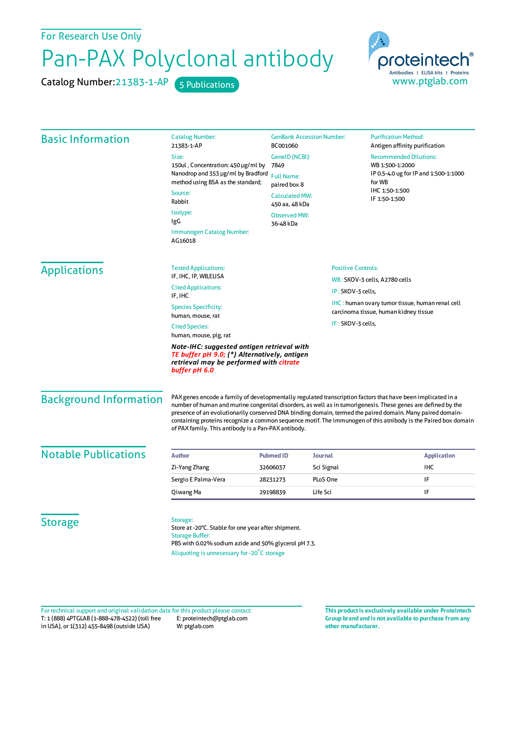For Research Use Only

## Pan-PAX Polyclonal antibody

Catalog Number: 21383-1-AP 5 Publications



| <b>Basic Information</b>                                                                                                                               | <b>Catalog Number:</b><br>21383-1-AP                                                                                                                                                                                                                                            | <b>GenBank Accession Number:</b><br>BC001060                                                                                               |                                                                                                 | <b>Purification Method:</b><br>Antigen affinity purification                                                                                                                                                                   |                                      |                             |  |                           |                               |
|--------------------------------------------------------------------------------------------------------------------------------------------------------|---------------------------------------------------------------------------------------------------------------------------------------------------------------------------------------------------------------------------------------------------------------------------------|--------------------------------------------------------------------------------------------------------------------------------------------|-------------------------------------------------------------------------------------------------|--------------------------------------------------------------------------------------------------------------------------------------------------------------------------------------------------------------------------------|--------------------------------------|-----------------------------|--|---------------------------|-------------------------------|
|                                                                                                                                                        | Size:<br>150ul, Concentration: 450 µg/ml by<br>Nanodrop and 353 µg/ml by Bradford<br>method using BSA as the standard;<br>Source:<br>Rabbit<br>Isotype:<br>IgG                                                                                                                  | GenelD (NCBI):<br>7849<br><b>Full Name:</b><br>paired box 8<br><b>Calculated MW:</b><br>450 aa, 48 kDa<br><b>Observed MW:</b><br>36-48 kDa |                                                                                                 | <b>Recommended Dilutions:</b><br>WB 1:500-1:2000<br>IP 0.5-4.0 ug for IP and 1:500-1:1000<br>for WB<br>IHC 1:50-1:500<br>IF 1:50-1:500                                                                                         |                                      |                             |  |                           |                               |
|                                                                                                                                                        |                                                                                                                                                                                                                                                                                 |                                                                                                                                            |                                                                                                 |                                                                                                                                                                                                                                | Immunogen Catalog Number:<br>AG16018 |                             |  |                           |                               |
|                                                                                                                                                        |                                                                                                                                                                                                                                                                                 |                                                                                                                                            |                                                                                                 |                                                                                                                                                                                                                                | <b>Applications</b>                  | <b>Tested Applications:</b> |  | <b>Positive Controls:</b> |                               |
|                                                                                                                                                        |                                                                                                                                                                                                                                                                                 |                                                                                                                                            |                                                                                                 |                                                                                                                                                                                                                                |                                      | IF, IHC, IP, WB, ELISA      |  |                           | WB: SKOV-3 cells, A2780 cells |
|                                                                                                                                                        | <b>Cited Applications:</b><br>IF, IHC                                                                                                                                                                                                                                           |                                                                                                                                            | IP: SKOV-3 cells,                                                                               |                                                                                                                                                                                                                                |                                      |                             |  |                           |                               |
| <b>Species Specificity:</b><br>human, mouse, rat                                                                                                       |                                                                                                                                                                                                                                                                                 |                                                                                                                                            | <b>IHC:</b> human ovary tumor tissue, human renal cell<br>carcinoma tissue, human kidney tissue |                                                                                                                                                                                                                                |                                      |                             |  |                           |                               |
| <b>Cited Species:</b><br>human, mouse, pig, rat                                                                                                        |                                                                                                                                                                                                                                                                                 | IF: SKOV-3 cells,                                                                                                                          |                                                                                                 |                                                                                                                                                                                                                                |                                      |                             |  |                           |                               |
| Note-IHC: suggested antigen retrieval with<br>TE buffer pH 9.0; (*) Alternatively, antigen<br>retrieval may be performed with citrate<br>buffer pH 6.0 |                                                                                                                                                                                                                                                                                 |                                                                                                                                            |                                                                                                 |                                                                                                                                                                                                                                |                                      |                             |  |                           |                               |
| <b>Background Information</b>                                                                                                                          | PAX genes encode a family of developmentally regulated transcription factors that have been implicated in a<br>presence of an evolutionarily conserved DNA binding domain, termed the paired domain. Many paired domain-<br>of PAX family. This antibody is a Pan-PAX antibody. |                                                                                                                                            |                                                                                                 | number of human and murine congenital disorders, as well as in tumorigenesis. These genes are defined by the<br>containing proteins recognize a common sequence motif. The immunogen of this atnibody is the Paired box domain |                                      |                             |  |                           |                               |
| <b>Notable Publications</b>                                                                                                                            |                                                                                                                                                                                                                                                                                 |                                                                                                                                            |                                                                                                 |                                                                                                                                                                                                                                |                                      |                             |  |                           |                               |
|                                                                                                                                                        | Author                                                                                                                                                                                                                                                                          | <b>Pubmed ID</b>                                                                                                                           | Journal                                                                                         | <b>Application</b>                                                                                                                                                                                                             |                                      |                             |  |                           |                               |
|                                                                                                                                                        | Zi-Yang Zhang                                                                                                                                                                                                                                                                   | 32606037                                                                                                                                   | Sci Signal                                                                                      | <b>IHC</b>                                                                                                                                                                                                                     |                                      |                             |  |                           |                               |
|                                                                                                                                                        | Sergio E Palma-Vera                                                                                                                                                                                                                                                             | 28231273                                                                                                                                   | PLoS One                                                                                        | IF                                                                                                                                                                                                                             |                                      |                             |  |                           |                               |
|                                                                                                                                                        | Qiwang Ma                                                                                                                                                                                                                                                                       | 29198839                                                                                                                                   | Life Sci                                                                                        | IF                                                                                                                                                                                                                             |                                      |                             |  |                           |                               |
| <b>Storage</b>                                                                                                                                         | Storage:                                                                                                                                                                                                                                                                        |                                                                                                                                            |                                                                                                 |                                                                                                                                                                                                                                |                                      |                             |  |                           |                               |

Store at -20°C. Stable for one year after shipment. Storage Buffer: PBS with 0.02% sodium azide and 50% glycerol pH 7.3. Aliquoting is unnecessary for -20<sup>°</sup>C storage

T: 1 (888) 4PTGLAB (1-888-478-4522) (toll free in USA), or 1(312) 455-8498 (outside USA) E: proteintech@ptglab.com W: ptglab.com Fortechnical support and original validation data forthis product please contact: **This productis exclusively available under Proteintech**

**Group brand and is not available to purchase from any other manufacturer.**